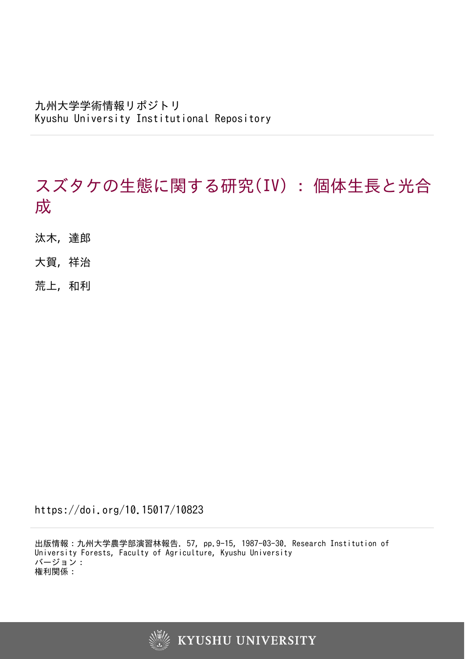# スズタケの生態に関する研究(IV) : 個体生長と光合 成

- 汰木, 達郎
- 大賀, 祥治
- 荒上, 和利

https://doi.org/10.15017/10823

出版情報:九州大学農学部演習林報告. 57, pp.9-15, 1987-03-30. Research Institution of University Forests, Faculty of Agriculture, Kyushu University バージョン: 権利関係:

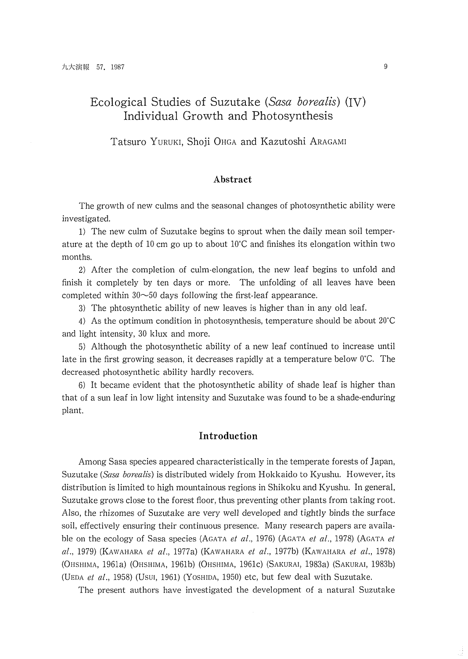# Ecological Studies of Suzutake *(Sasa borealis)* (IV) Individual Growth and Photosynthesis

Tatsuro YURUKI, Shoji OHGA and Kazutoshi ARAGAMI

#### **Abstract**

The growth of new culms and the seasonal changes of photosynthetic ability were investigated.

1) The new culm of Suzutake begins to sprout when the daily mean soil temperature at the depth of 10 cm go up to about  $10^{\circ}$ C and finishes its elongation within two months.

2) After the completion of culm-elongation, the new leaf begins to unfold and finish it completely by ten days or more. The unfolding of all leaves have been completed within  $30~50$  days following the first-leaf appearance.

3) The phtosynthetic ability of new leaves is higher than in any old leaf.

4) As the optimum condition in photosynthesis, temperature should be about 20'C and light intensity, 30 klux and more.

5) Although the photosynthetic ability of a new leaf continued to increase until late in the first growing season, it decreases rapidly at a temperature below  $0^{\circ}C$ . The decreased photosynthetic ability hardly recovers.

6) It became evident that the photosynthetic ability of shade leaf is higher than that of a sun leaf in low light intensity and Suzutake was found to be a shade-enduring plant.

### **Introduction**

Among Sasa species appeared characteristically in the temperate forests of Japan, Suzutake *(Sasa borealis)* is distributed widely from Hokkaido to Kyushu. However, its distribution is limited to high mountainous regions in Shikoku and Kyushu. In general, Suzutake grows close to the forest floor, thus preventing other plants from taking root. Also, the rhizomes of Suzutake are very well developed and tightly binds the surface soil, effectively ensuring their continuous presence. Many research papers are available on the ecology of Sasa species (AGATA *et al.,* 1976) (AGATA *el al.,* 1978) (AGATA *el al.,* 1979) (KAWAHARA *et al.,* 1977a) (KAWAHARA *et al.,* 1977b) (KAWAHARA *el al., 1978)* (OHSHlMA, 1961a) (OHSHlMA, 1961b) (OHSHIMA, 1961c) (SAKURAI, 1983a) (SAKURAI, 1983b) (UEDA *et al.,* 1958) (USUI, 1961) (YOSHIDA, 1950) etc, but few deal with Suzutake.

The present authors have investigated the development of a natural Suzutake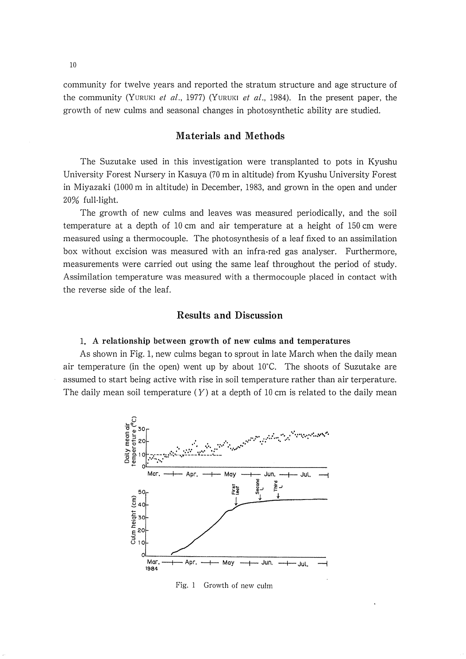community for twelve years and reported the stratum structure and age structure of the community (YURUKI et al., 1977) (YURUKI *et* al., 1984). In the present paper, the growth of new cullns and seasonal changes in photosynthetic ability are studied.

#### **Materials and Methods**

The Suzutake used in this investigation were transplanted to pots in Kyushu University Forest Nursery in Kasuya (70 m in altitude) from Kyushu University Forest in Miyazaki (1000 m in altitude) in December, 1983, and grown in the open and under 20% full-light.

The growth of new culms and leaves was measured periodically, and the soil temperature at a depth of 10 cm and air temperature at a height of l50 cm were measured using a thermocouple. The photosynthesis of a leaf fixed to an assimilation box without excision was measured with an infra-red gas analyser. Furthermore, measurements were carried out using the same leaf throughout the period of study. Assimilation temperature was measured with a thermocouple placed in contact with the reverse side of the leaf.

### **Results and Discussion**

#### l. **A relationship between growth of new culms and temperatures**

As shown in Fig. l, new culms began to sprout in late March when the daily mean air temperature (in the open) went up by about  $10^{\circ}$ C. The shoots of Suzutake are assumed to start being active with rise in soil temperature rather than air terperature. The daily mean soil temperature  $(Y)$  at a depth of 10 cm is related to the daily mean



Fig. 1 Growth of new culm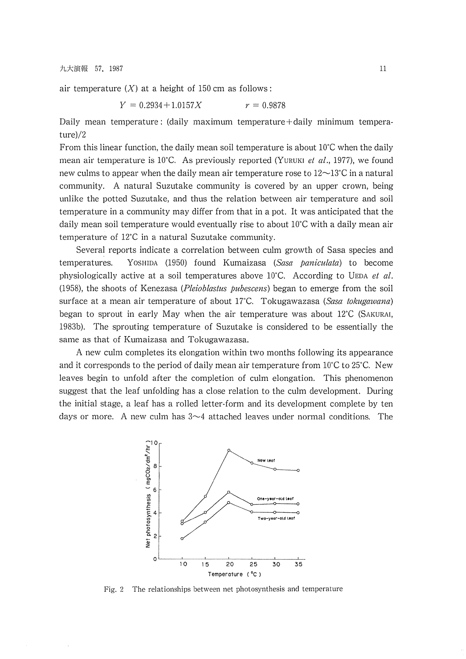九大演報 57, 1987

air temperature  $(X)$  at a height of 150 cm as follows:

 $Y = 0.2934 + 1.0157X$   $r = 0.9878$ 

Daily mean temperature : (daily maximum temperature+daily minimum temperature)/2

From this linear function, the daily mean soil temperature is about  $10^{\circ}$ C when the daily mean air temperature is 10°C. As previously reported (YURUKI *et al.*, 1977), we found new culms to appear when the daily mean air temperature rose to  $12\sim13^{\circ}C$  in a natural community. A natural Suzutake community is covered by an upper crown, being unlike the potted Suzutake, and thus the relation between air temperature and soil temperature in a community may differ from that in a pot. It was anticipated that the daily mean soil temperature would eventually rise to about 10°C with a daily mean air temperature of  $12^{\circ}$ C in a natural Suzutake community.

Several reports indicate a correlation between culm growth of Sasa species and temperatures. YOSHIDA (1950) found Kumaizasa (Sasa paniculata) to become physiologically active at a soil temperatures above 10°C. According to UEDA *et al.* (1958), the shoots of Kenezasa (*Pleioblastus pubescens*) began to emerge from the soil surface at a mean air temperature of about 17°C. Tokugawazasa (Sasa tokugawana) began to sprout in early May when the air temperature was about  $12^{\circ}C$  (SAKURAI, 1983b). The sprouting temperature of Suzutake is considered to be essentially the same as that of Kumaizasa and Tokugawazasa.

A new culm completes its elongation within two months following its appearance and it corresponds to the period of daily mean air temperature from  $10^{\circ}$ C to 25°C. New leaves begin to unfold after the completion of culm elongation. This phenomenon suggest that the leaf unfolding has a close relation to the culm development. During the initial stage, a leaf has a rolled letter-form and its development complete by ten days or more. A new culm has  $3\neg 4$  attached leaves under normal conditions. The



Fig. 2 The relationships between net photosynthesis and temperature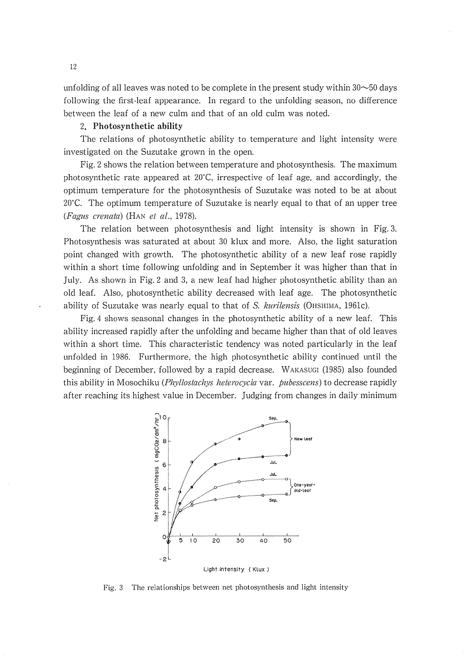unfolding of all leaves was noted to be complete in the present study within  $30\neg 50$  days following the first-leaf appearance. In regard to the unfolding season, no difference between the leaf of a new culm and that of an old culm was noted.

#### 2. **Photosynthetic ability**

The relations of photosynthetic ability to temperature and light intensity were investigated on the Suzutake grown in the open.

Fig. 2 shows the relation between temperature and photosynthesis. The maximum photosynthetic rate appeared at  $20^{\circ}$ C, irrespective of leaf age, and accordingly, the optimum temperature for the photosynthesis of Suzutake was noted to be at about  $20^{\circ}$ C. The optimum temperature of Suzutake is nearly equal to that of an upper tree (Fagus crenata) (HAN et al., 1978).

The relation between photosynthesis and light intensity is shown in Fig. 3. Photosynthesis was saturated at about 30 klux and more. Also, the light saturation point changed with growth. The photosynthetic ability of a new leaf rose rapidly within a short time following unfolding and in September it was higher than that in July. As shown in Fig. 2 and 3, a new leaf had higher photosynthetic ability than an old leaf. Also, photosynthetic ability decreased with leaf age. The photosynthetic ability of Suzutake was nearly equal to that of *S, kurilensis* (OHSHIMA, 1961c).

Fig. 4 shows seasonal changes in the photosynthetic ability of a new leaf. This ability increased rapidly after the unfolding and became higher than that of old leaves within a short time. This characteristic tendency was noted particularly in the leaf unfolded in 1986. Furthermore, the high photosynthetic ability continued until the beginning of December, followed by a rapid decrease. WAKASUGI (1985) also founded this ability in Mosochiku (Phyllostachys heterocycla var. pubesscens) to decrease rapidly after reaching its highest value in December. Judging from changes in daily minimum



Fig. 3 'The relationships between net photosynthesis and light intensity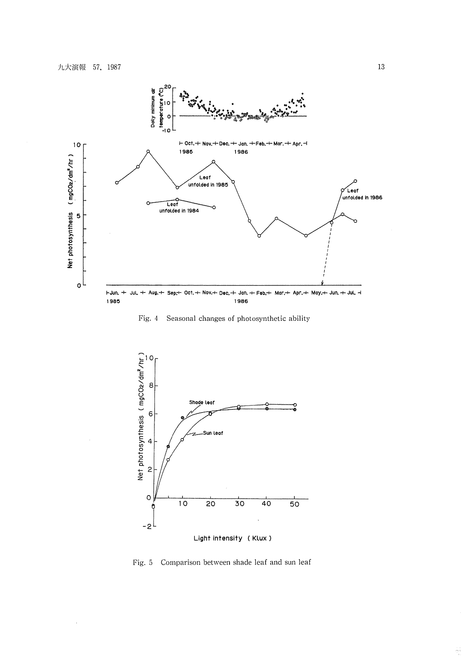

Fig. 4 Seasonal changes of photosynthetic ability



Light intensity (Klux )

Fig. 5 Comparison between shade leaf and sun leaf

Ang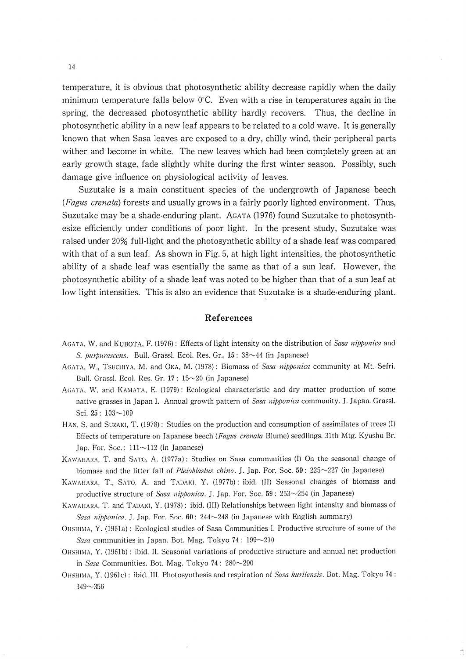temperature, it is obvious that photosynthetic ability decrease rapidly when the daily minimum temperature falls below  $0^{\circ}$ C. Even with a rise in temperatures again in the spring, the decreased photosynthetic ability hardly recovers. Thus, the decline in photosynthetic ability in a new leaf appears to be related to a cold wave. It is generally known that when Sasa leaves are exposed to a dry, chilly wind, their peripheral parts wither and become in white. The new leaves which had been completely green at an early growth stage, fade slightly white during the first winter season. Possibly, such damage give influence on physiological activity of leaves.

Suzutake is a main constituent species of the undergrowth of Japanese beech *(Fagus crenata)* forests and usually grows in a fairly poorly lighted environment. Thus, Suzutake may be a shade-enduring plant. AGATA (1976) found Suzutake to photosynthesize efficiently under conditions of poor light. In the present study, Suzutake was raised under 20% full-light and the photosynthetic ability of a shade leaf was compared with that of a sun leaf. As shown in Fig, 5, at high light intensities, the photosynthetic ability of a shade leaf was esentially the same as that of a sun leaf. However, the photosynthetic ability of a shade leaf was noted to be higher than that of a sun leaf at low light intensities. This is also an evidence that Suzutake is a shade-enduring plant.

#### **References**

- AGATA, W. and KUBOTA, F. (1976) : Effects of light intensity on the distribution of *Sasa nipponica* and *S. purpurascens.* Bull. Grassl. Ecol. Res. Gr., 15: 38~44 (in Japanese)
- AGATA, W., TSUCHIYA, M. and OKA, M. (1978) : Biomass of *Sasa nipponica* community at Mt. Sefri. Bull. Grassl. Ecol. Res. Gr.  $17: 15{\sim}20$  (in Japanese)
- AGATA, W. and KAMATA, E. (1979): Ecological characteristic and dry matter production of some native grasses in Japan I. Annual growth pattern of *Sasa nipponica* community. J. Japan. Grassl. Sci. **25** : 103-109
- HAN, S. and SUZAKI, T. (1978): Studies on the production and consumption of assimilates of trees (I) Effects of temperature on Japanese beech (Fagus crenata Blume) seedlings. 31th Mtg. Kyushu Br. Jap. For. Soc.:  $111 \sim 112$  (in Japanese)
- KAWAHARA, T. and SATO, A. (1977a): Studies on Sasa communities (I) On the seasonal change of biomass and the litter fall of *Pleioblastus chino.* J. Jap. For. Soc. 59: 225~227 (in Japanese)
- KAWAHARA, T., SATO, A. and TADAKI, Y. (1977b): ibid. (II) Seasonal changes of biomass and productive structure of *Slcsn ~zi/)/)o??ico.* J. Jap. For. Soc. **59** : 253-254 **(in** Japanese)
- KAWAHARA, T. and TADAKI, Y. (1978) : ibid. (III) Relationships between light intensity and biomass of *Sasa nipponica.* J. Jap. For. Soc.  $60: 244 \sim 248$  (in Japanese with English summary)
- OHSHIMA, Y. (1961a) : Ecological studies of Sasa Communities I. Productive structure of some of the *Sasa* communities in Japan. Bot. Mag. Tokyo 74: 199~210
- OHSHIMA, Y. (1961b) : ibid. II. Seasonal variations of productive structure and annual net production in *Sasa* Communities. Bot. Mag. Tokyo 74: 280~290
- OHSHIMA, Y. (1961c) : ibid. III. Photosynthesis and respiration of Sasa kurilensis. Bot. Mag. Tokyo 74 : 3119-356